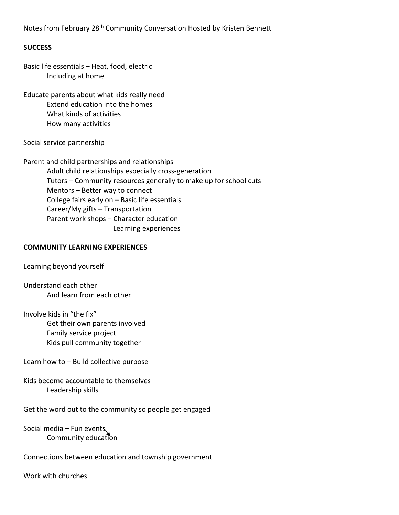Notes from February 28<sup>th</sup> Community Conversation Hosted by Kristen Bennett

## **SUCCESS**

Basic life essentials – Heat, food, electric Including at home

Educate parents about what kids really need Extend education into the homes What kinds of activities How many activities

Social service partnership

Parent and child partnerships and relationships Adult child relationships especially cross‐generation Tutors – Community resources generally to make up for school cuts Mentors – Better way to connect College fairs early on – Basic life essentials Career/My gifts – Transportation Parent work shops – Character education Learning experiences

## **COMMUNITY LEARNING EXPERIENCES**

Learning beyond yourself

Understand each other And learn from each other

Involve kids in "the fix" Get their own parents involved Family service project Kids pull community together

Learn how to – Build collective purpose

Kids become accountable to themselves Leadership skills

Get the word out to the community so people get engaged

Social media – Fun events Community education

Connections between education and township government

Work with churches